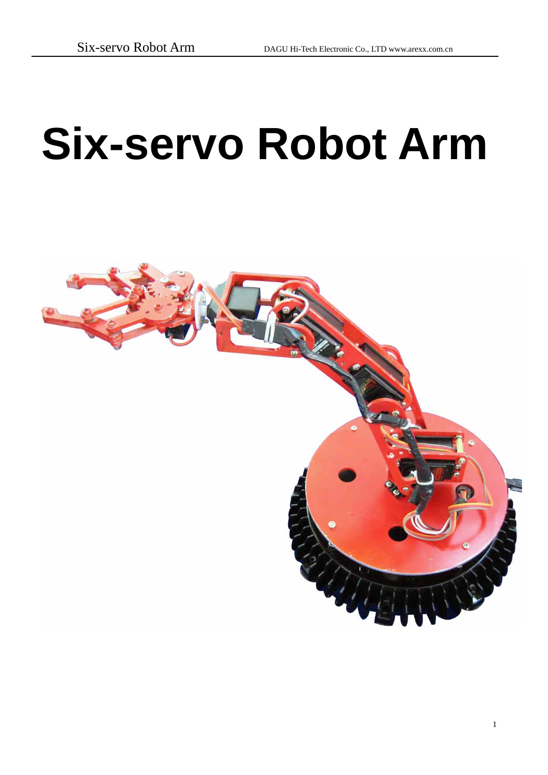# **Six-servo Robot Arm**

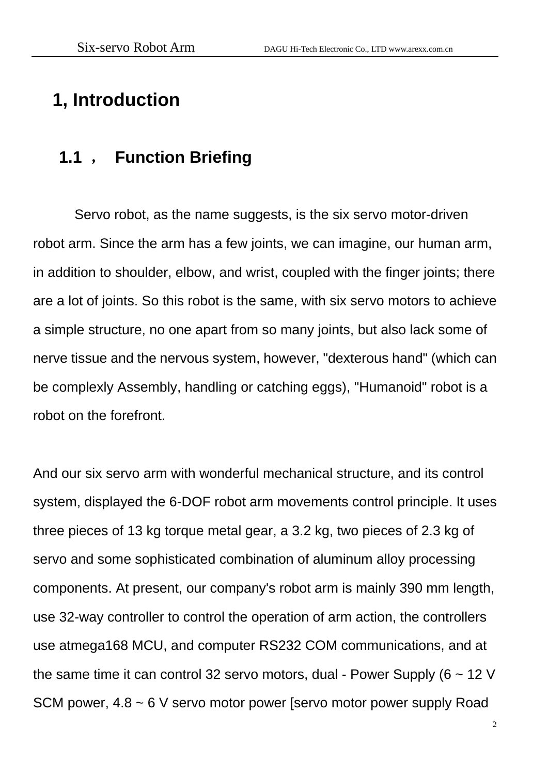## **1, Introduction**

#### **1.1** , **Function Briefing**

Servo robot, as the name suggests, is the six servo motor-driven robot arm. Since the arm has a few joints, we can imagine, our human arm, in addition to shoulder, elbow, and wrist, coupled with the finger joints; there are a lot of joints. So this robot is the same, with six servo motors to achieve a simple structure, no one apart from so many joints, but also lack some of nerve tissue and the nervous system, however, "dexterous hand" (which can be complexly Assembly, handling or catching eggs), "Humanoid" robot is a robot on the forefront.

And our six servo arm with wonderful mechanical structure, and its control system, displayed the 6-DOF robot arm movements control principle. It uses three pieces of 13 kg torque metal gear, a 3.2 kg, two pieces of 2.3 kg of servo and some sophisticated combination of aluminum alloy processing components. At present, our company's robot arm is mainly 390 mm length, use 32-way controller to control the operation of arm action, the controllers use atmega168 MCU, and computer RS232 COM communications, and at the same time it can control 32 servo motors, dual - Power Supply ( $6 \sim 12$  V SCM power, 4.8 ~ 6 V servo motor power [servo motor power supply Road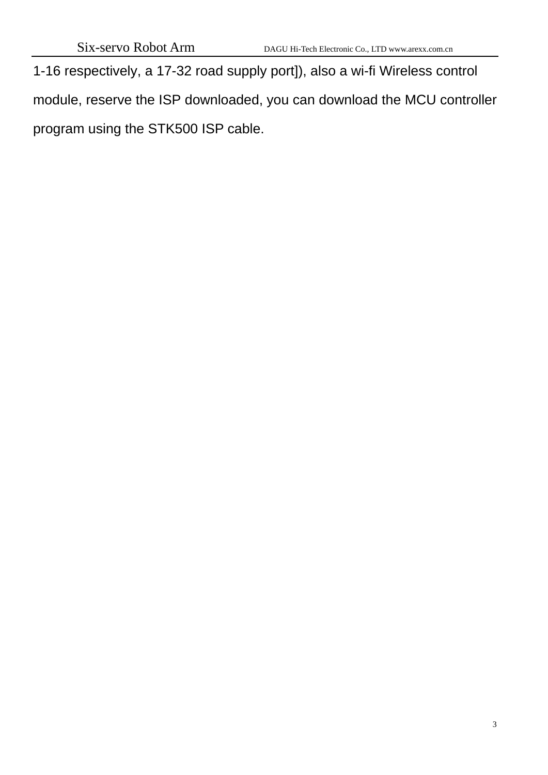1-16 respectively, a 17-32 road supply port]), also a wi-fi Wireless control module, reserve the ISP downloaded, you can download the MCU controller program using the STK500 ISP cable.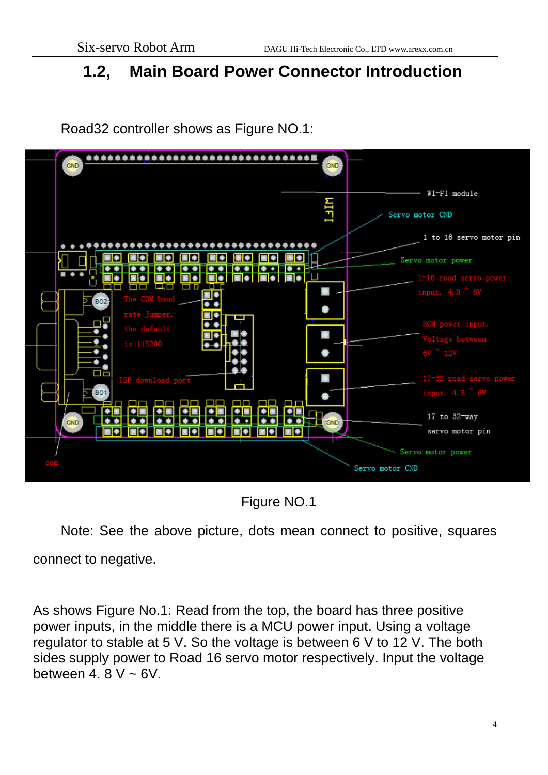#### **1.2, Main Board Power Connector Introduction**



Road32 controller shows as Figure NO.1:

Figure NO.1

Note: See the above picture, dots mean connect to positive, squares connect to negative.

As shows Figure No.1: Read from the top, the board has three positive power inputs, in the middle there is a MCU power input. Using a voltage regulator to stable at 5 V. So the voltage is between 6 V to 12 V. The both sides supply power to Road 16 servo motor respectively. Input the voltage between 4,  $8 \text{ V} \sim 6 \text{ V}$ .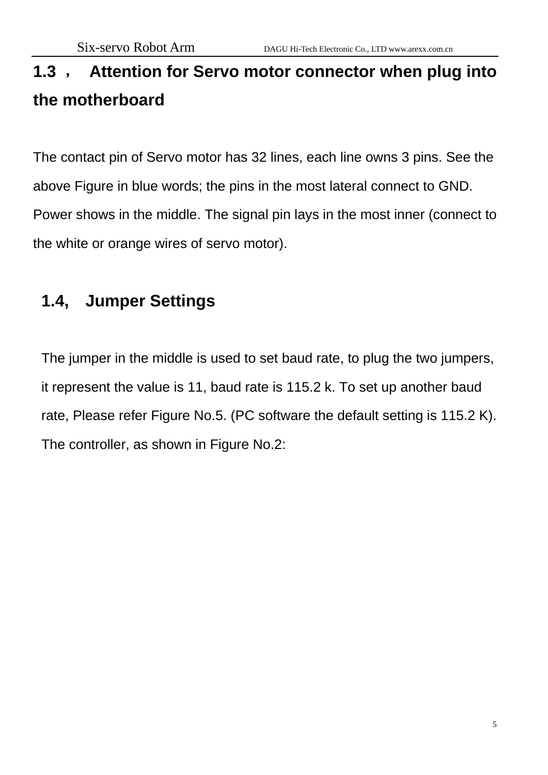# **1.3** , **Attention for Servo motor connector when plug into the motherboard**

The contact pin of Servo motor has 32 lines, each line owns 3 pins. See the above Figure in blue words; the pins in the most lateral connect to GND. Power shows in the middle. The signal pin lays in the most inner (connect to the white or orange wires of servo motor).

## **1.4, Jumper Settings**

The jumper in the middle is used to set baud rate, to plug the two jumpers, it represent the value is 11, baud rate is 115.2 k. To set up another baud rate, Please refer Figure No.5. (PC software the default setting is 115.2 K). The controller, as shown in Figure No.2: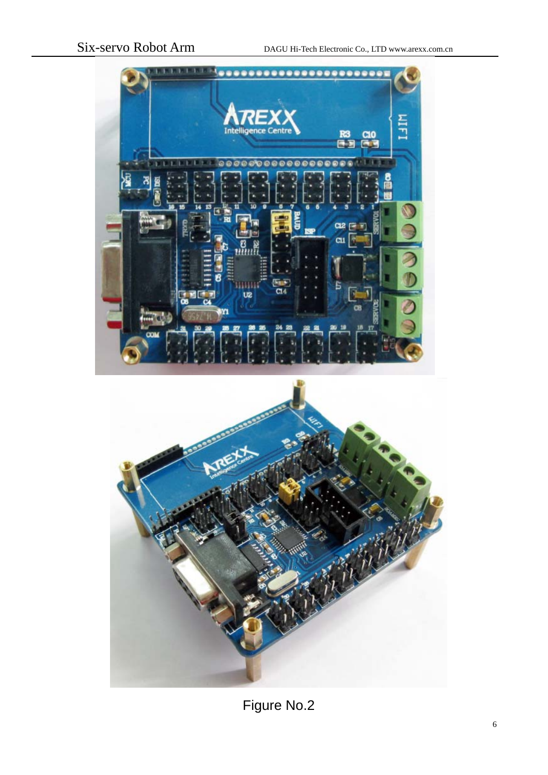



Figure No.2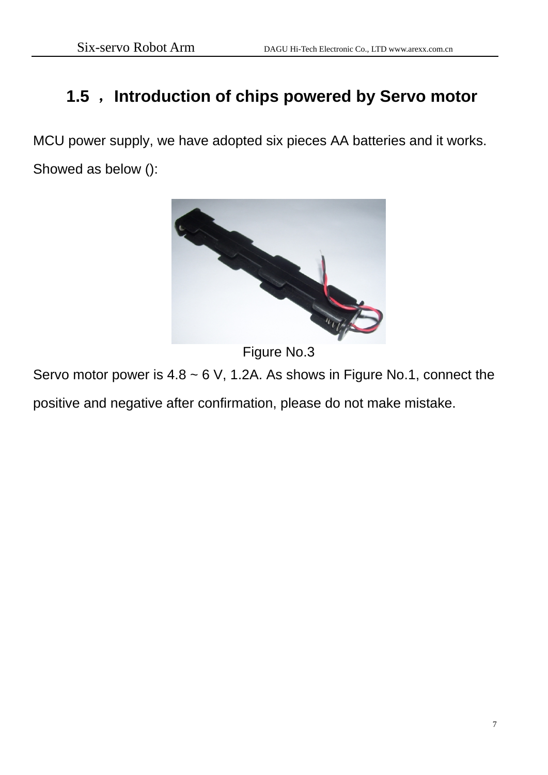### **1.5** ,**Introduction of chips powered by Servo motor**

MCU power supply, we have adopted six pieces AA batteries and it works. Showed as below ():



Figure No.3

Servo motor power is  $4.8 \sim 6$  V, 1.2A. As shows in Figure No.1, connect the

positive and negative after confirmation, please do not make mistake.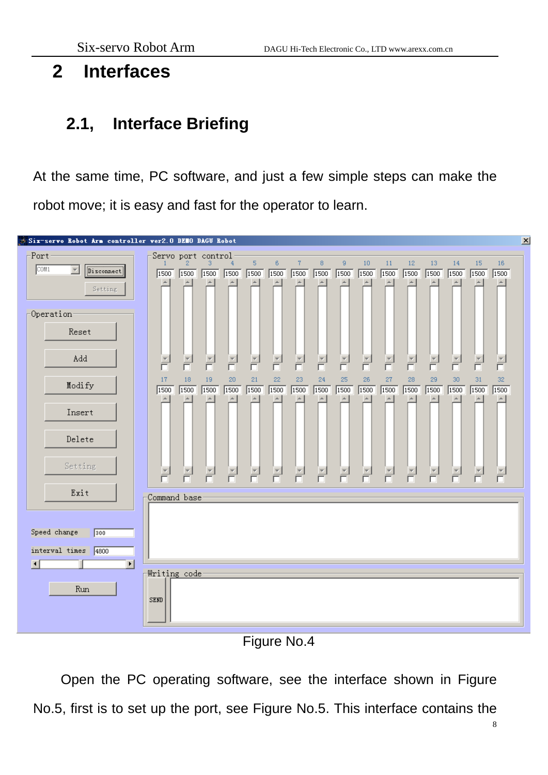### **2 Interfaces**

#### **2.1, Interface Briefing**

At the same time, PC software, and just a few simple steps can make the robot move; it is easy and fast for the operator to learn.



Figure No.4

Open the PC operating software, see the interface shown in Figure No.5, first is to set up the port, see Figure No.5. This interface contains the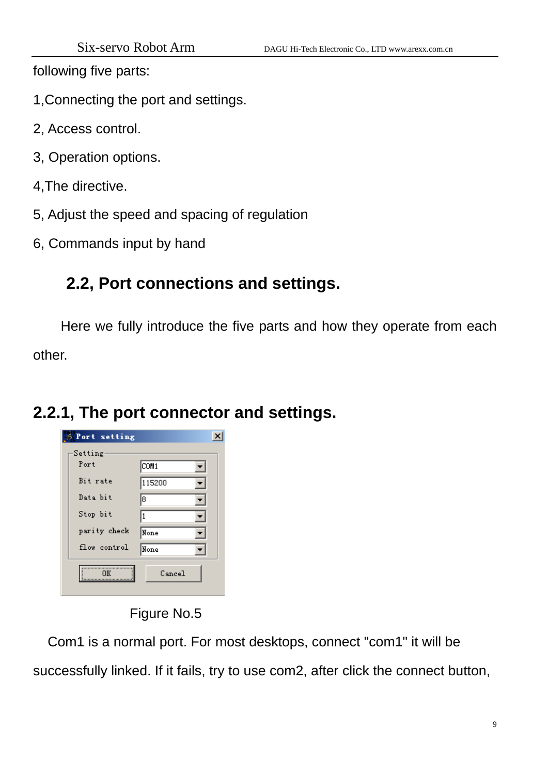following five parts:

1,Connecting the port and settings.

- 2, Access control.
- 3, Operation options.
- 4,The directive.
- 5, Adjust the speed and spacing of regulation
- 6, Commands input by hand

### **2.2, Port connections and settings.**

Here we fully introduce the five parts and how they operate from each other.

#### **2.2.1, The port connector and settings.**

| <b>Port setting</b> |        |  |
|---------------------|--------|--|
| Setting             |        |  |
| Port                | COM1   |  |
| Bit rate            | 115200 |  |
| Data bit            | 18     |  |
| Stop bit            | 1      |  |
| parity check        | None   |  |
| flow control        | None   |  |
| OΚ                  | Cancel |  |

Figure No.5

 Com1 is a normal port. For most desktops, connect "com1" it will be successfully linked. If it fails, try to use com2, after click the connect button,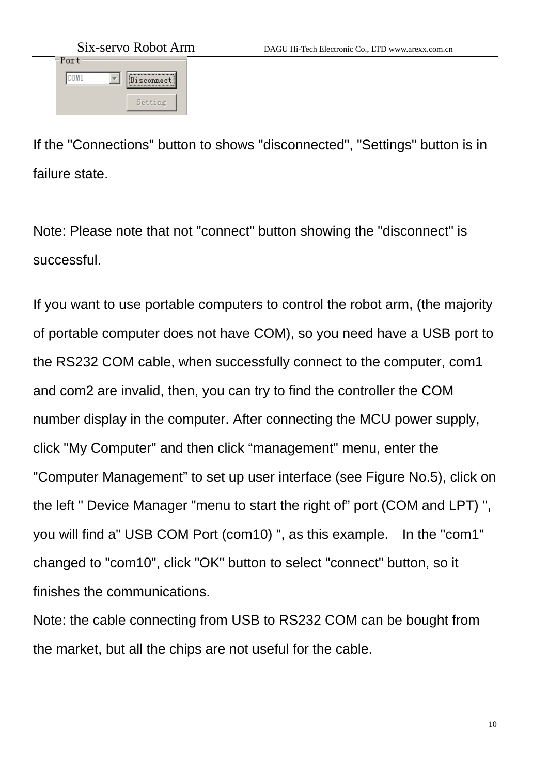| SIX-SEIVO KODOL AIII |            |  |  |  |  |  |
|----------------------|------------|--|--|--|--|--|
| Port                 |            |  |  |  |  |  |
|                      |            |  |  |  |  |  |
| COM1                 | Disconnect |  |  |  |  |  |
|                      |            |  |  |  |  |  |
|                      |            |  |  |  |  |  |
|                      | Setting    |  |  |  |  |  |
|                      |            |  |  |  |  |  |

If the "Connections" button to shows "disconnected", "Settings" button is in failure state.

Note: Please note that not "connect" button showing the "disconnect" is successful.

If you want to use portable computers to control the robot arm, (the majority of portable computer does not have COM), so you need have a USB port to the RS232 COM cable, when successfully connect to the computer, com1 and com2 are invalid, then, you can try to find the controller the COM number display in the computer. After connecting the MCU power supply, click "My Computer" and then click "management" menu, enter the "Computer Management" to set up user interface (see Figure No.5), click on the left " Device Manager "menu to start the right of" port (COM and LPT) ", you will find a" USB COM Port (com10) ", as this example. In the "com1" changed to "com10", click "OK" button to select "connect" button, so it finishes the communications.

Note: the cable connecting from USB to RS232 COM can be bought from the market, but all the chips are not useful for the cable.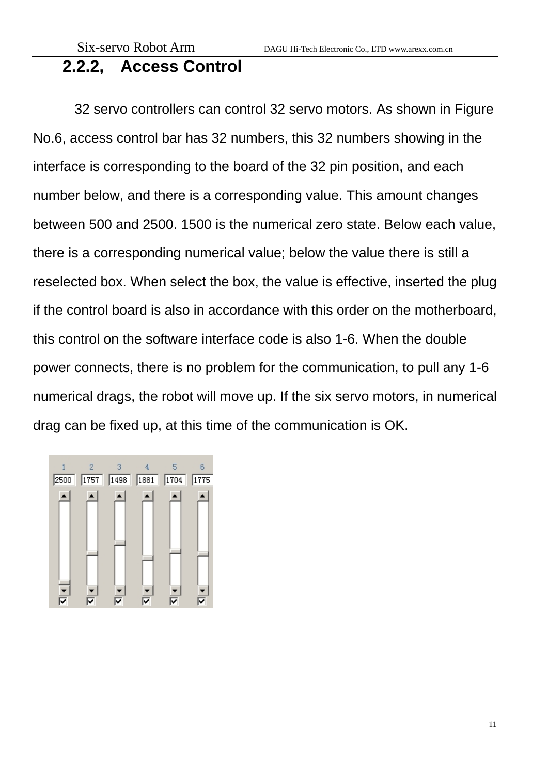#### **2.2.2, Access Control**

32 servo controllers can control 32 servo motors. As shown in Figure No.6, access control bar has 32 numbers, this 32 numbers showing in the interface is corresponding to the board of the 32 pin position, and each number below, and there is a corresponding value. This amount changes between 500 and 2500. 1500 is the numerical zero state. Below each value, there is a corresponding numerical value; below the value there is still a reselected box. When select the box, the value is effective, inserted the plug if the control board is also in accordance with this order on the motherboard, this control on the software interface code is also 1-6. When the double power connects, there is no problem for the communication, to pull any 1-6 numerical drags, the robot will move up. If the six servo motors, in numerical drag can be fixed up, at this time of the communication is OK.

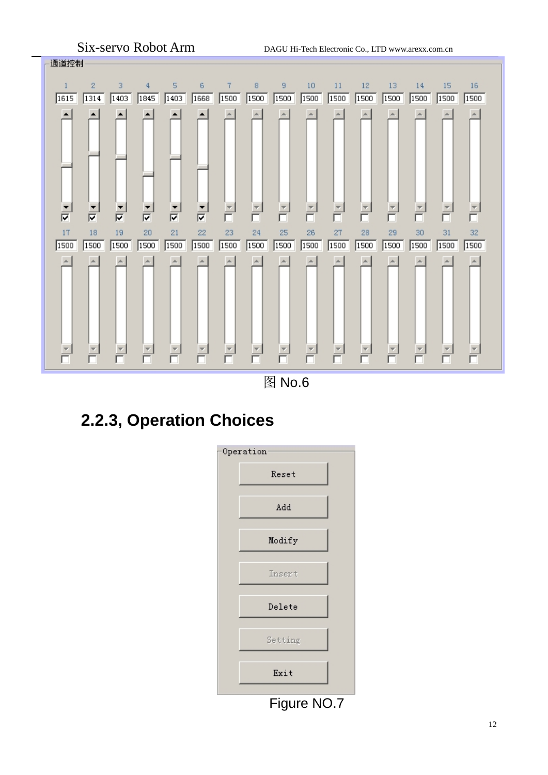

图 No.6

## **2.2.3, Operation Choices**



Figure NO.7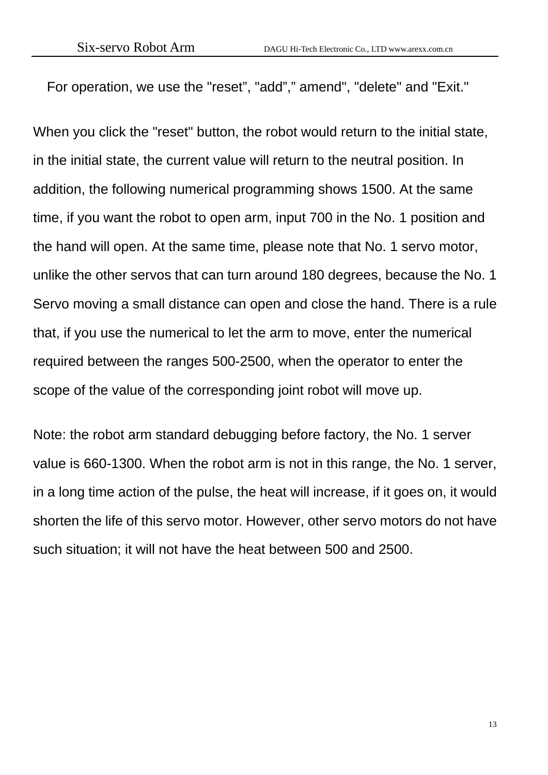For operation, we use the "reset", "add"," amend", "delete" and "Exit."

When you click the "reset" button, the robot would return to the initial state, in the initial state, the current value will return to the neutral position. In addition, the following numerical programming shows 1500. At the same time, if you want the robot to open arm, input 700 in the No. 1 position and the hand will open. At the same time, please note that No. 1 servo motor, unlike the other servos that can turn around 180 degrees, because the No. 1 Servo moving a small distance can open and close the hand. There is a rule that, if you use the numerical to let the arm to move, enter the numerical required between the ranges 500-2500, when the operator to enter the scope of the value of the corresponding joint robot will move up.

Note: the robot arm standard debugging before factory, the No. 1 server value is 660-1300. When the robot arm is not in this range, the No. 1 server, in a long time action of the pulse, the heat will increase, if it goes on, it would shorten the life of this servo motor. However, other servo motors do not have such situation; it will not have the heat between 500 and 2500.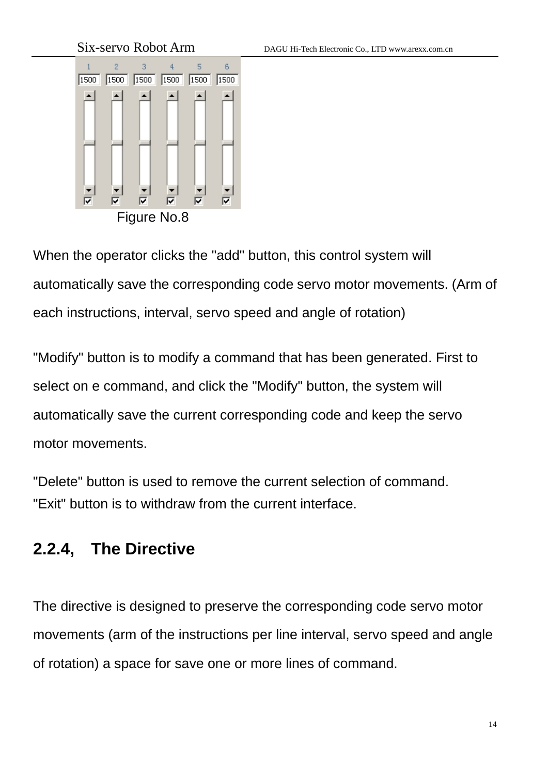Six-servo Robot Arm DAGU Hi-Tech Electronic Co., LTD www.arexx.com.cn 6  $1500$  $1500$  $1500$  $1500$  $1500$  $1500$ ☞  $\overline{\nabla}$ ঢ় ⊽ ⊽ ⊽ Figure No.8

When the operator clicks the "add" button, this control system will automatically save the corresponding code servo motor movements. (Arm of each instructions, interval, servo speed and angle of rotation)

"Modify" button is to modify a command that has been generated. First to select on e command, and click the "Modify" button, the system will automatically save the current corresponding code and keep the servo motor movements.

"Delete" button is used to remove the current selection of command. "Exit" button is to withdraw from the current interface.

#### **2.2.4, The Directive**

The directive is designed to preserve the corresponding code servo motor movements (arm of the instructions per line interval, servo speed and angle of rotation) a space for save one or more lines of command.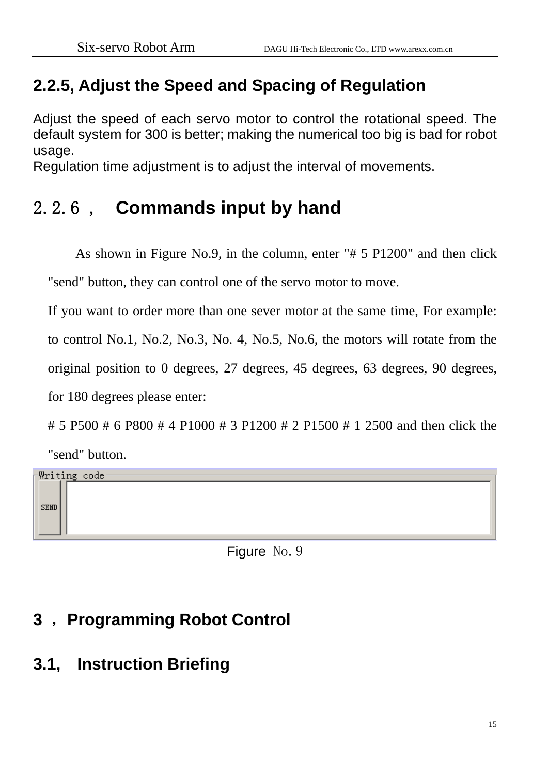## **2.2.5, Adjust the Speed and Spacing of Regulation**

Adjust the speed of each servo motor to control the rotational speed. The default system for 300 is better; making the numerical too big is bad for robot usage.

Regulation time adjustment is to adjust the interval of movements.

# 2.2.6 , **Commands input by hand**

As shown in Figure No.9, in the column, enter "# 5 P1200" and then click "send" button, they can control one of the servo motor to move.

If you want to order more than one sever motor at the same time, For example: to control No.1, No.2, No.3, No. 4, No.5, No.6, the motors will rotate from the original position to 0 degrees, 27 degrees, 45 degrees, 63 degrees, 90 degrees, for 180 degrees please enter:

# 5 P500 # 6 P800 # 4 P1000 # 3 P1200 # 2 P1500 # 1 2500 and then click the



Figure No. 9

# **3** ,**Programming Robot Control**

# **3.1, Instruction Briefing**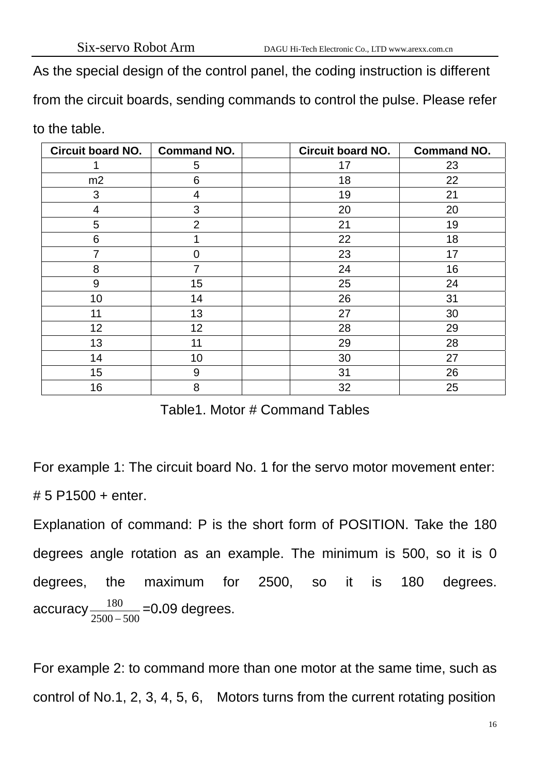As the special design of the control panel, the coding instruction is different

from the circuit boards, sending commands to control the pulse. Please refer

to the table.

| <b>Circuit board NO.</b> | <b>Command NO.</b> | <b>Circuit board NO.</b> | <b>Command NO.</b> |
|--------------------------|--------------------|--------------------------|--------------------|
|                          | 5                  | 17                       | 23                 |
| m2                       | 6                  | 18                       | 22                 |
| 3                        | 4                  | 19                       | 21                 |
| 4                        | 3                  | 20                       | 20                 |
| 5                        | $\overline{2}$     | 21                       | 19                 |
| 6                        | 1                  | 22                       | 18                 |
| $\overline{7}$           | $\overline{0}$     | 23                       | 17                 |
| 8                        | $\overline{7}$     | 24                       | 16                 |
| 9                        | 15                 | 25                       | 24                 |
| 10                       | 14                 | 26                       | 31                 |
| 11                       | 13                 | 27                       | 30                 |
| 12                       | 12                 | 28                       | 29                 |
| 13                       | 11                 | 29                       | 28                 |
| 14                       | 10                 | 30                       | 27                 |
| 15                       | 9                  | 31                       | 26                 |
| 16                       | 8                  | 32                       | 25                 |

Table1. Motor # Command Tables

For example 1: The circuit board No. 1 for the servo motor movement enter: # 5 P1500 + enter.

Explanation of command: P is the short form of POSITION. Take the 180 degrees angle rotation as an example. The minimum is 500, so it is 0 degrees, the maximum for 2500, so it is 180 degrees. accuracy  $\frac{180}{2500-500}$  =0.09 degrees.

For example 2: to command more than one motor at the same time, such as control of No.1, 2, 3, 4, 5, 6, Motors turns from the current rotating position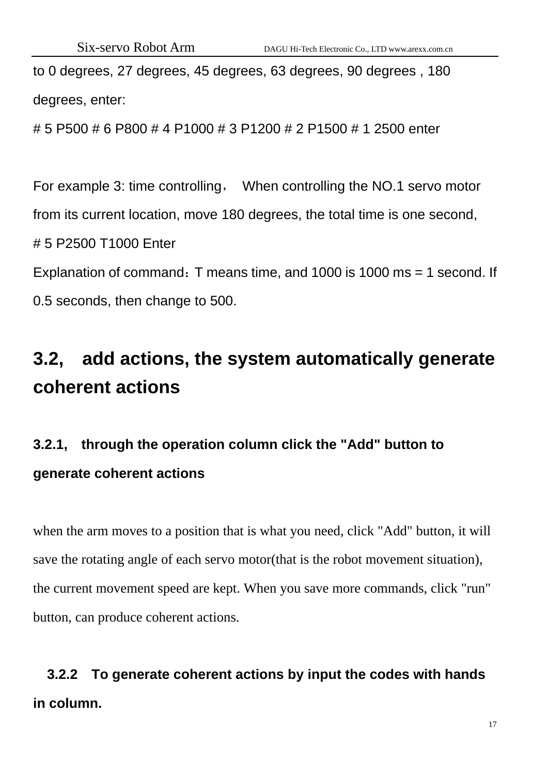to 0 degrees, 27 degrees, 45 degrees, 63 degrees, 90 degrees , 180 degrees, enter:

# 5 P500 # 6 P800 # 4 P1000 # 3 P1200 # 2 P1500 # 1 2500 enter

For example 3: time controlling, When controlling the NO.1 servo motor from its current location, move 180 degrees, the total time is one second, # 5 P2500 T1000 Enter Explanation of command: T means time, and 1000 is 1000 ms = 1 second. If 0.5 seconds, then change to 500.

# **3.2, add actions, the system automatically generate coherent actions**

# **3.2.1, through the operation column click the "Add" button to generate coherent actions**

when the arm moves to a position that is what you need, click "Add" button, it will save the rotating angle of each servo motor(that is the robot movement situation), the current movement speed are kept. When you save more commands, click "run" button, can produce coherent actions.

# **3.2.2 To generate coherent actions by input the codes with hands in column.**